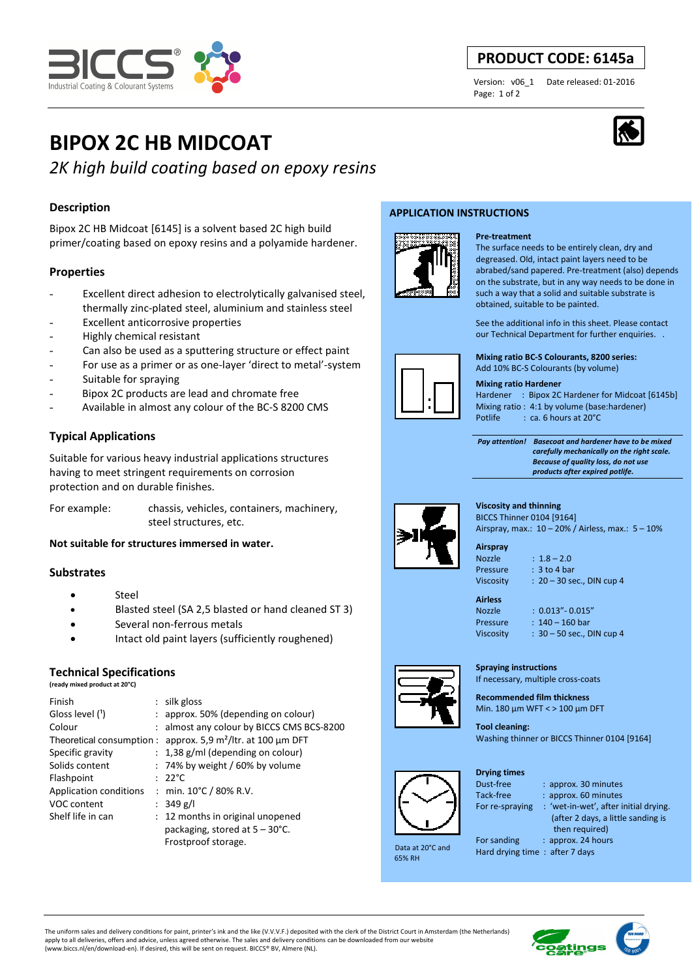## **PRODUCT CODE: 6145a**

Page: 1 of 2

Version: v06\_1 Date released: 01-2016



# **BIPOX 2C HB MIDCOAT**

## *2K high build coating based on epoxy resins*

## **Description**

Bipox 2C HB Midcoat [6145] is a solvent based 2C high build primer/coating based on epoxy resins and a polyamide hardener.

## **Properties**

- Excellent direct adhesion to electrolytically galvanised steel, thermally zinc-plated steel, aluminium and stainless steel
- Excellent anticorrosive properties
- Highly chemical resistant
- Can also be used as a sputtering structure or effect paint
- For use as a primer or as one-layer 'direct to metal'-system
- Suitable for spraying
- Bipox 2C products are lead and chromate free
- Available in almost any colour of the BC-S 8200 CMS

## **Typical Applications**

Suitable for various heavy industrial applications structures having to meet stringent requirements on corrosion protection and on durable finishes.

For example: chassis, vehicles, containers, machinery, steel structures, etc.

**Not suitable for structures immersed in water.** 

## **Substrates**

- Steel
- Blasted steel (SA 2,5 blasted or hand cleaned ST 3)
- Several non-ferrous metals
- Intact old paint layers (sufficiently roughened)

## **Technical Specifications**

**(ready mixed product at 20°C)**

| Finish                    | $:$ silk gloss                            |
|---------------------------|-------------------------------------------|
| Gloss level (1)           | : approx. 50% (depending on colour)       |
| Colour                    | : almost any colour by BICCS CMS BCS-8200 |
| Theoretical consumption : | approx. 5,9 $m^2$ /ltr. at 100 µm DFT     |
| Specific gravity          | $: 1,38$ g/ml (depending on colour)       |
| Solids content            | $: 74\%$ by weight / 60% by volume        |
| Flashpoint                | $: 22^{\circ}$ C                          |
| Application conditions    | : min. $10^{\circ}$ C / 80% R.V.          |
| VOC content               | : 349 g/l                                 |
| Shelf life in can         | : 12 months in original unopened          |
|                           | packaging, stored at $5 - 30^{\circ}$ C.  |
|                           | Frostproof storage.                       |

## **APPLICATION INSTRUCTIONS**



#### **Pre-treatment**



See the additional info in this sheet. Please contact our Technical Department for further enquiries. .

**Mixing ratio BC-S Colourants, 8200 series:**  Add 10% BC-S Colourants (by volume)

#### **Mixing ratio Hardener**

Hardener : Bipox 2C Hardener for Midcoat [6145b] Mixing ratio : 4:1 by volume (base:hardener) Potlife : ca. 6 hours at 20°C

 *Pay attention! Basecoat and hardener have to be mixed carefully mechanically on the right scale. Because of quality loss, do not use products after expired potlife.*



#### **Viscosity and thinning**  BICCS Thinner 0104 [9164]

Airspray, max.: 10 – 20% / Airless, max.: 5 – 10%

#### **Airspray**  Nozzle : 1.8 – 2.0 Pressure : 3 to 4 bar

Viscosity : 20 – 30 sec., DIN cup 4

**Airless** 

Nozzle : 0.013"- 0.015" Pressure : 140 – 160 bar

Viscosity : 30 – 50 sec., DIN cup 4



**Spraying instructions**  If necessary, multiple cross-coats

**Recommended film thickness**  Min. 180 µm WFT < > 100 µm DFT

**Tool cleaning:**  Washing thinner or BICCS Thinner 0104 [9164]



 Data at 20°C and 65% RH

### **Drying times**

Dust-free : approx. 30 minutes

- Tack-free : approx. 60 minutes For re-spraying : 'wet-in-wet', after initial drying.
	- (after 2 days, a little sanding is then required)

For sanding : approx. 24 hours Hard drying time : after 7 days

The uniform sales and delivery conditions for paint, printer's ink and the like (V.V.V.F.) deposited with the clerk of the District Court in Amsterdam (the Netherlands) apply to all deliveries, offers and advice, unless agreed otherwise. The sales and delivery conditions can be downloaded from our website (www.biccs.nl/en/download-en). If desired, this will be sent on request. BICCS® BV, Almere (NL).